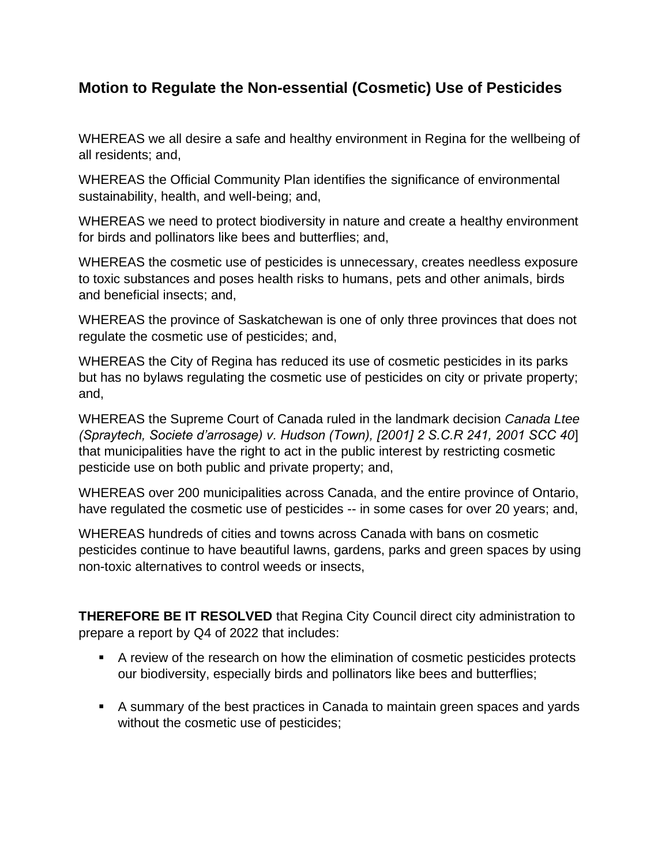## **Motion to Regulate the Non-essential (Cosmetic) Use of Pesticides**

WHEREAS we all desire a safe and healthy environment in Regina for the wellbeing of all residents; and,

WHEREAS the Official Community Plan identifies the significance of environmental sustainability, health, and well-being; and,

WHEREAS we need to protect biodiversity in nature and create a healthy environment for birds and pollinators like bees and butterflies; and,

WHEREAS the cosmetic use of pesticides is unnecessary, creates needless exposure to toxic substances and poses health risks to humans, pets and other animals, birds and beneficial insects; and,

WHEREAS the province of Saskatchewan is one of only three provinces that does not regulate the cosmetic use of pesticides; and,

WHEREAS the City of Regina has reduced its use of cosmetic pesticides in its parks but has no bylaws regulating the cosmetic use of pesticides on city or private property; and,

WHEREAS the Supreme Court of Canada ruled in the landmark decision *Canada Ltee (Spraytech, Societe d'arrosage) v. Hudson (Town), [2001] 2 S.C.R 241, 2001 SCC 40*] that municipalities have the right to act in the public interest by restricting cosmetic pesticide use on both public and private property; and,

WHEREAS over 200 municipalities across Canada, and the entire province of Ontario, have regulated the cosmetic use of pesticides -- in some cases for over 20 years; and,

WHEREAS hundreds of cities and towns across Canada with bans on cosmetic pesticides continue to have beautiful lawns, gardens, parks and green spaces by using non-toxic alternatives to control weeds or insects,

**THEREFORE BE IT RESOLVED** that Regina City Council direct city administration to prepare a report by Q4 of 2022 that includes:

- A review of the research on how the elimination of cosmetic pesticides protects our biodiversity, especially birds and pollinators like bees and butterflies;
- A summary of the best practices in Canada to maintain green spaces and yards without the cosmetic use of pesticides;